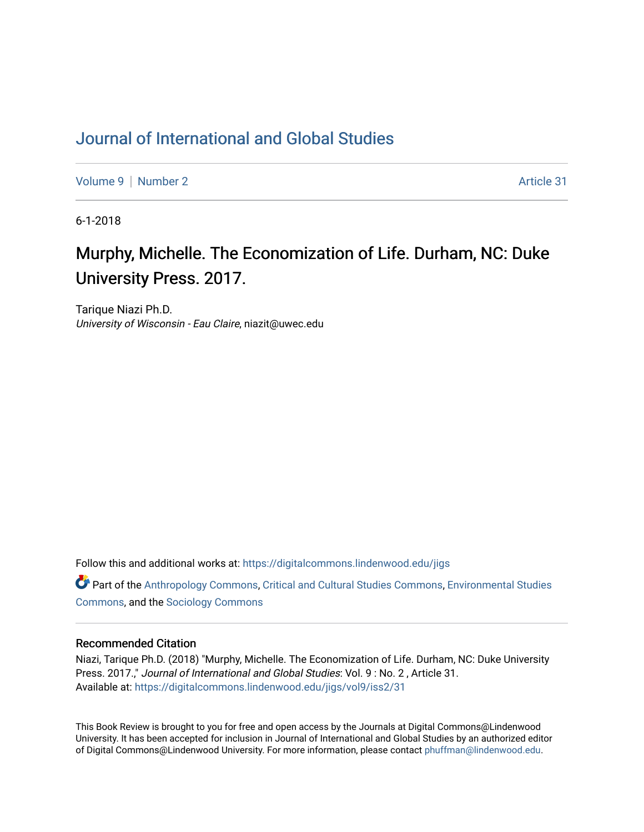## [Journal of International and Global Studies](https://digitalcommons.lindenwood.edu/jigs)

[Volume 9](https://digitalcommons.lindenwood.edu/jigs/vol9) | [Number 2](https://digitalcommons.lindenwood.edu/jigs/vol9/iss2) Article 31

6-1-2018

# Murphy, Michelle. The Economization of Life. Durham, NC: Duke University Press. 2017.

Tarique Niazi Ph.D. University of Wisconsin - Eau Claire, niazit@uwec.edu

Follow this and additional works at: [https://digitalcommons.lindenwood.edu/jigs](https://digitalcommons.lindenwood.edu/jigs?utm_source=digitalcommons.lindenwood.edu%2Fjigs%2Fvol9%2Fiss2%2F31&utm_medium=PDF&utm_campaign=PDFCoverPages) 

**C** Part of the [Anthropology Commons](http://network.bepress.com/hgg/discipline/318?utm_source=digitalcommons.lindenwood.edu%2Fjigs%2Fvol9%2Fiss2%2F31&utm_medium=PDF&utm_campaign=PDFCoverPages), [Critical and Cultural Studies Commons](http://network.bepress.com/hgg/discipline/328?utm_source=digitalcommons.lindenwood.edu%2Fjigs%2Fvol9%2Fiss2%2F31&utm_medium=PDF&utm_campaign=PDFCoverPages), Environmental Studies [Commons](http://network.bepress.com/hgg/discipline/1333?utm_source=digitalcommons.lindenwood.edu%2Fjigs%2Fvol9%2Fiss2%2F31&utm_medium=PDF&utm_campaign=PDFCoverPages), and the [Sociology Commons](http://network.bepress.com/hgg/discipline/416?utm_source=digitalcommons.lindenwood.edu%2Fjigs%2Fvol9%2Fiss2%2F31&utm_medium=PDF&utm_campaign=PDFCoverPages)

#### Recommended Citation

Niazi, Tarique Ph.D. (2018) "Murphy, Michelle. The Economization of Life. Durham, NC: Duke University Press. 2017.," Journal of International and Global Studies: Vol. 9 : No. 2 , Article 31. Available at: [https://digitalcommons.lindenwood.edu/jigs/vol9/iss2/31](https://digitalcommons.lindenwood.edu/jigs/vol9/iss2/31?utm_source=digitalcommons.lindenwood.edu%2Fjigs%2Fvol9%2Fiss2%2F31&utm_medium=PDF&utm_campaign=PDFCoverPages) 

This Book Review is brought to you for free and open access by the Journals at Digital Commons@Lindenwood University. It has been accepted for inclusion in Journal of International and Global Studies by an authorized editor of Digital Commons@Lindenwood University. For more information, please contact [phuffman@lindenwood.edu](mailto:phuffman@lindenwood.edu).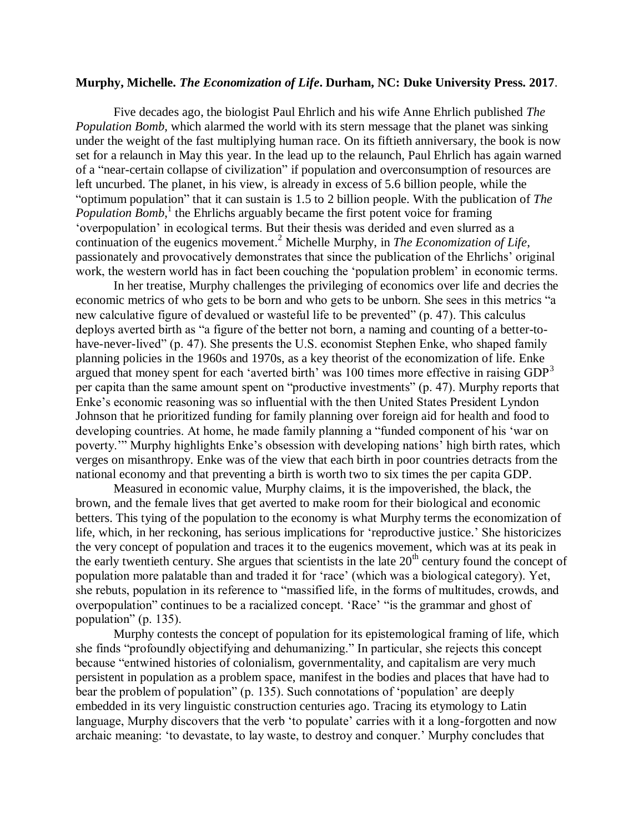### **Murphy, Michelle.** *The Economization of Life***. Durham, NC: Duke University Press. 2017**.

Five decades ago, the biologist Paul Ehrlich and his wife Anne Ehrlich published *The Population Bomb*, which alarmed the world with its stern message that the planet was sinking under the weight of the fast multiplying human race. On its fiftieth anniversary, the book is now set for a relaunch in May this year. In the lead up to the relaunch, Paul Ehrlich has again warned of a "near-certain collapse of civilization" if population and overconsumption of resources are left uncurbed. The planet, in his view, is already in excess of 5.6 billion people, while the "optimum population" that it can sustain is 1.5 to 2 billion people. With the publication of *The*  Population Bomb,<sup>1</sup> the Ehrlichs arguably became the first potent voice for framing 'overpopulation' in ecological terms. But their thesis was derided and even slurred as a continuation of the eugenics movement.<sup>2</sup> Michelle Murphy, in *The Economization of Life*, passionately and provocatively demonstrates that since the publication of the Ehrlichs' original work, the western world has in fact been couching the 'population problem' in economic terms.

In her treatise, Murphy challenges the privileging of economics over life and decries the economic metrics of who gets to be born and who gets to be unborn. She sees in this metrics "a new calculative figure of devalued or wasteful life to be prevented" (p. 47). This calculus deploys averted birth as "a figure of the better not born, a naming and counting of a better-tohave-never-lived" (p. 47). She presents the U.S. economist Stephen Enke, who shaped family planning policies in the 1960s and 1970s, as a key theorist of the economization of life. Enke argued that money spent for each 'averted birth' was 100 times more effective in raising GDP<sup>3</sup> per capita than the same amount spent on "productive investments" (p. 47). Murphy reports that Enke's economic reasoning was so influential with the then United States President Lyndon Johnson that he prioritized funding for family planning over foreign aid for health and food to developing countries. At home, he made family planning a "funded component of his 'war on poverty.'" Murphy highlights Enke's obsession with developing nations' high birth rates, which verges on misanthropy. Enke was of the view that each birth in poor countries detracts from the national economy and that preventing a birth is worth two to six times the per capita GDP.

Measured in economic value, Murphy claims, it is the impoverished, the black, the brown, and the female lives that get averted to make room for their biological and economic betters. This tying of the population to the economy is what Murphy terms the economization of life, which, in her reckoning, has serious implications for 'reproductive justice.' She historicizes the very concept of population and traces it to the eugenics movement, which was at its peak in the early twentieth century. She argues that scientists in the late  $20<sup>th</sup>$  century found the concept of population more palatable than and traded it for 'race' (which was a biological category). Yet, she rebuts, population in its reference to "massified life, in the forms of multitudes, crowds, and overpopulation" continues to be a racialized concept. 'Race' "is the grammar and ghost of population" (p. 135).

Murphy contests the concept of population for its epistemological framing of life, which she finds "profoundly objectifying and dehumanizing." In particular, she rejects this concept because "entwined histories of colonialism, governmentality, and capitalism are very much persistent in population as a problem space, manifest in the bodies and places that have had to bear the problem of population" (p. 135). Such connotations of 'population' are deeply embedded in its very linguistic construction centuries ago. Tracing its etymology to Latin language, Murphy discovers that the verb 'to populate' carries with it a long-forgotten and now archaic meaning: 'to devastate, to lay waste, to destroy and conquer.' Murphy concludes that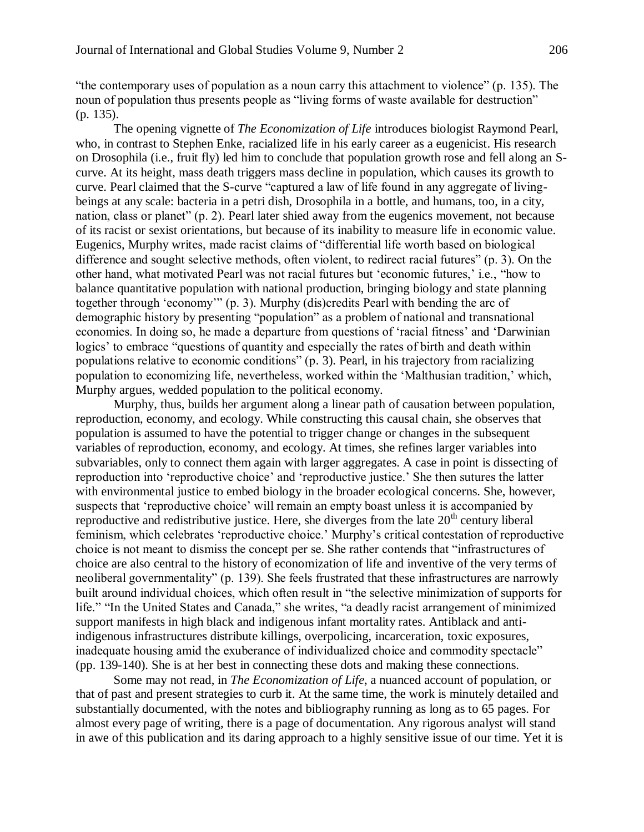"the contemporary uses of population as a noun carry this attachment to violence" (p. 135). The noun of population thus presents people as "living forms of waste available for destruction" (p. 135).

The opening vignette of *The Economization of Life* introduces biologist Raymond Pearl, who, in contrast to Stephen Enke, racialized life in his early career as a eugenicist. His research on Drosophila (i.e., fruit fly) led him to conclude that population growth rose and fell along an Scurve. At its height, mass death triggers mass decline in population, which causes its growth to curve. Pearl claimed that the S-curve "captured a law of life found in any aggregate of livingbeings at any scale: bacteria in a petri dish, Drosophila in a bottle, and humans, too, in a city, nation, class or planet" (p. 2). Pearl later shied away from the eugenics movement, not because of its racist or sexist orientations, but because of its inability to measure life in economic value. Eugenics, Murphy writes, made racist claims of "differential life worth based on biological difference and sought selective methods, often violent, to redirect racial futures" (p. 3). On the other hand, what motivated Pearl was not racial futures but 'economic futures,' i.e., "how to balance quantitative population with national production, bringing biology and state planning together through 'economy'" (p. 3). Murphy (dis)credits Pearl with bending the arc of demographic history by presenting "population" as a problem of national and transnational economies. In doing so, he made a departure from questions of 'racial fitness' and 'Darwinian logics' to embrace "questions of quantity and especially the rates of birth and death within populations relative to economic conditions" (p. 3). Pearl, in his trajectory from racializing population to economizing life, nevertheless, worked within the 'Malthusian tradition,' which, Murphy argues, wedded population to the political economy.

Murphy, thus, builds her argument along a linear path of causation between population, reproduction, economy, and ecology. While constructing this causal chain, she observes that population is assumed to have the potential to trigger change or changes in the subsequent variables of reproduction, economy, and ecology. At times, she refines larger variables into subvariables, only to connect them again with larger aggregates. A case in point is dissecting of reproduction into 'reproductive choice' and 'reproductive justice.' She then sutures the latter with environmental justice to embed biology in the broader ecological concerns. She, however, suspects that 'reproductive choice' will remain an empty boast unless it is accompanied by reproductive and redistributive justice. Here, she diverges from the late  $20<sup>th</sup>$  century liberal feminism, which celebrates 'reproductive choice.' Murphy's critical contestation of reproductive choice is not meant to dismiss the concept per se. She rather contends that "infrastructures of choice are also central to the history of economization of life and inventive of the very terms of neoliberal governmentality" (p. 139). She feels frustrated that these infrastructures are narrowly built around individual choices, which often result in "the selective minimization of supports for life." "In the United States and Canada," she writes, "a deadly racist arrangement of minimized support manifests in high black and indigenous infant mortality rates. Antiblack and antiindigenous infrastructures distribute killings, overpolicing, incarceration, toxic exposures, inadequate housing amid the exuberance of individualized choice and commodity spectacle" (pp. 139-140). She is at her best in connecting these dots and making these connections.

Some may not read, in *The Economization of Life*, a nuanced account of population, or that of past and present strategies to curb it. At the same time, the work is minutely detailed and substantially documented, with the notes and bibliography running as long as to 65 pages. For almost every page of writing, there is a page of documentation. Any rigorous analyst will stand in awe of this publication and its daring approach to a highly sensitive issue of our time. Yet it is